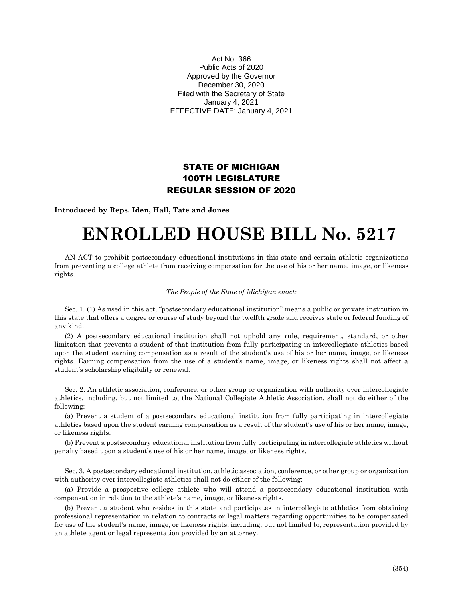Act No. 366 Public Acts of 2020 Approved by the Governor December 30, 2020 Filed with the Secretary of State January 4, 2021 EFFECTIVE DATE: January 4, 2021

## STATE OF MICHIGAN 100TH LEGISLATURE REGULAR SESSION OF 2020

**Introduced by Reps. Iden, Hall, Tate and Jones**

## **ENROLLED HOUSE BILL No. 5217**

AN ACT to prohibit postsecondary educational institutions in this state and certain athletic organizations from preventing a college athlete from receiving compensation for the use of his or her name, image, or likeness rights.

## *The People of the State of Michigan enact:*

Sec. 1. (1) As used in this act, "postsecondary educational institution" means a public or private institution in this state that offers a degree or course of study beyond the twelfth grade and receives state or federal funding of any kind.

(2) A postsecondary educational institution shall not uphold any rule, requirement, standard, or other limitation that prevents a student of that institution from fully participating in intercollegiate athletics based upon the student earning compensation as a result of the student's use of his or her name, image, or likeness rights. Earning compensation from the use of a student's name, image, or likeness rights shall not affect a student's scholarship eligibility or renewal.

Sec. 2. An athletic association, conference, or other group or organization with authority over intercollegiate athletics, including, but not limited to, the National Collegiate Athletic Association, shall not do either of the following:

(a) Prevent a student of a postsecondary educational institution from fully participating in intercollegiate athletics based upon the student earning compensation as a result of the student's use of his or her name, image, or likeness rights.

(b) Prevent a postsecondary educational institution from fully participating in intercollegiate athletics without penalty based upon a student's use of his or her name, image, or likeness rights.

Sec. 3. A postsecondary educational institution, athletic association, conference, or other group or organization with authority over intercollegiate athletics shall not do either of the following:

(a) Provide a prospective college athlete who will attend a postsecondary educational institution with compensation in relation to the athlete's name, image, or likeness rights.

(b) Prevent a student who resides in this state and participates in intercollegiate athletics from obtaining professional representation in relation to contracts or legal matters regarding opportunities to be compensated for use of the student's name, image, or likeness rights, including, but not limited to, representation provided by an athlete agent or legal representation provided by an attorney.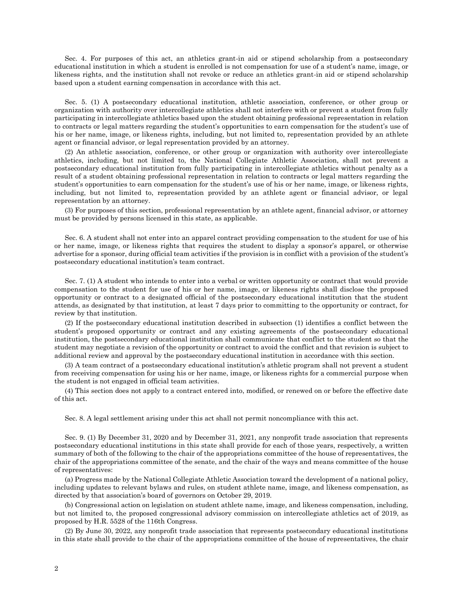Sec. 4. For purposes of this act, an athletics grant-in aid or stipend scholarship from a postsecondary educational institution in which a student is enrolled is not compensation for use of a student's name, image, or likeness rights, and the institution shall not revoke or reduce an athletics grant-in aid or stipend scholarship based upon a student earning compensation in accordance with this act.

Sec. 5. (1) A postsecondary educational institution, athletic association, conference, or other group or organization with authority over intercollegiate athletics shall not interfere with or prevent a student from fully participating in intercollegiate athletics based upon the student obtaining professional representation in relation to contracts or legal matters regarding the student's opportunities to earn compensation for the student's use of his or her name, image, or likeness rights, including, but not limited to, representation provided by an athlete agent or financial advisor, or legal representation provided by an attorney.

(2) An athletic association, conference, or other group or organization with authority over intercollegiate athletics, including, but not limited to, the National Collegiate Athletic Association, shall not prevent a postsecondary educational institution from fully participating in intercollegiate athletics without penalty as a result of a student obtaining professional representation in relation to contracts or legal matters regarding the student's opportunities to earn compensation for the student's use of his or her name, image, or likeness rights, including, but not limited to, representation provided by an athlete agent or financial advisor, or legal representation by an attorney.

(3) For purposes of this section, professional representation by an athlete agent, financial advisor, or attorney must be provided by persons licensed in this state, as applicable.

Sec. 6. A student shall not enter into an apparel contract providing compensation to the student for use of his or her name, image, or likeness rights that requires the student to display a sponsor's apparel, or otherwise advertise for a sponsor, during official team activities if the provision is in conflict with a provision of the student's postsecondary educational institution's team contract.

Sec. 7. (1) A student who intends to enter into a verbal or written opportunity or contract that would provide compensation to the student for use of his or her name, image, or likeness rights shall disclose the proposed opportunity or contract to a designated official of the postsecondary educational institution that the student attends, as designated by that institution, at least 7 days prior to committing to the opportunity or contract, for review by that institution.

(2) If the postsecondary educational institution described in subsection (1) identifies a conflict between the student's proposed opportunity or contract and any existing agreements of the postsecondary educational institution, the postsecondary educational institution shall communicate that conflict to the student so that the student may negotiate a revision of the opportunity or contract to avoid the conflict and that revision is subject to additional review and approval by the postsecondary educational institution in accordance with this section.

(3) A team contract of a postsecondary educational institution's athletic program shall not prevent a student from receiving compensation for using his or her name, image, or likeness rights for a commercial purpose when the student is not engaged in official team activities.

(4) This section does not apply to a contract entered into, modified, or renewed on or before the effective date of this act.

Sec. 8. A legal settlement arising under this act shall not permit noncompliance with this act.

Sec. 9. (1) By December 31, 2020 and by December 31, 2021, any nonprofit trade association that represents postsecondary educational institutions in this state shall provide for each of those years, respectively, a written summary of both of the following to the chair of the appropriations committee of the house of representatives, the chair of the appropriations committee of the senate, and the chair of the ways and means committee of the house of representatives:

(a) Progress made by the National Collegiate Athletic Association toward the development of a national policy, including updates to relevant bylaws and rules, on student athlete name, image, and likeness compensation, as directed by that association's board of governors on October 29, 2019.

(b) Congressional action on legislation on student athlete name, image, and likeness compensation, including, but not limited to, the proposed congressional advisory commission on intercollegiate athletics act of 2019, as proposed by H.R. 5528 of the 116th Congress.

(2) By June 30, 2022, any nonprofit trade association that represents postsecondary educational institutions in this state shall provide to the chair of the appropriations committee of the house of representatives, the chair